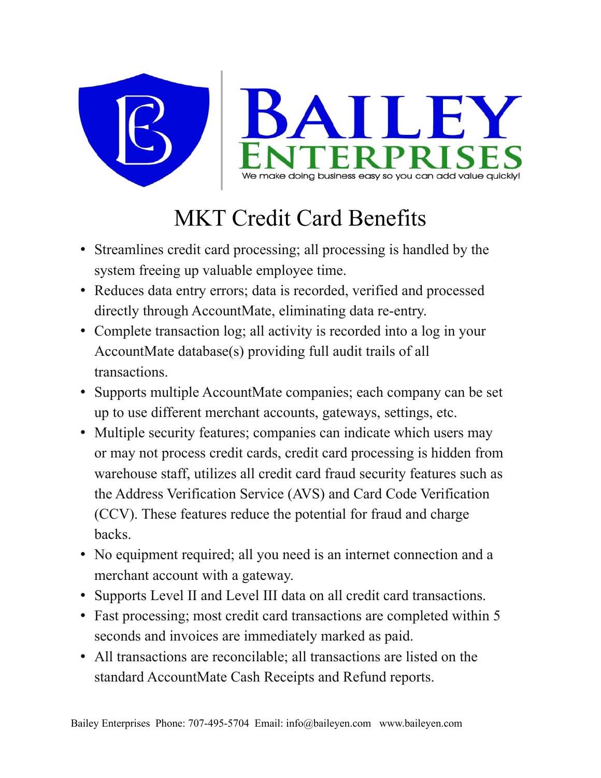

## MKT Credit Card Benefits

- Streamlines credit card processing; all processing is handled by the system freeing up valuable employee time.
- Reduces data entry errors; data is recorded, verified and processed directly through AccountMate, eliminating data re-entry.
- Complete transaction log; all activity is recorded into a log in your AccountMate database(s) providing full audit trails of all transactions.
- Supports multiple AccountMate companies; each company can be set up to use different merchant accounts, gateways, settings, etc.
- Multiple security features; companies can indicate which users may or may not process credit cards, credit card processing is hidden from warehouse staff, utilizes all credit card fraud security features such as the Address Verification Service (AVS) and Card Code Verification (CCV). These features reduce the potential for fraud and charge backs.
- No equipment required; all you need is an internet connection and a merchant account with a gateway.
- Supports Level II and Level III data on all credit card transactions.
- Fast processing; most credit card transactions are completed within 5 seconds and invoices are immediately marked as paid.
- All transactions are reconcilable; all transactions are listed on the standard AccountMate Cash Receipts and Refund reports.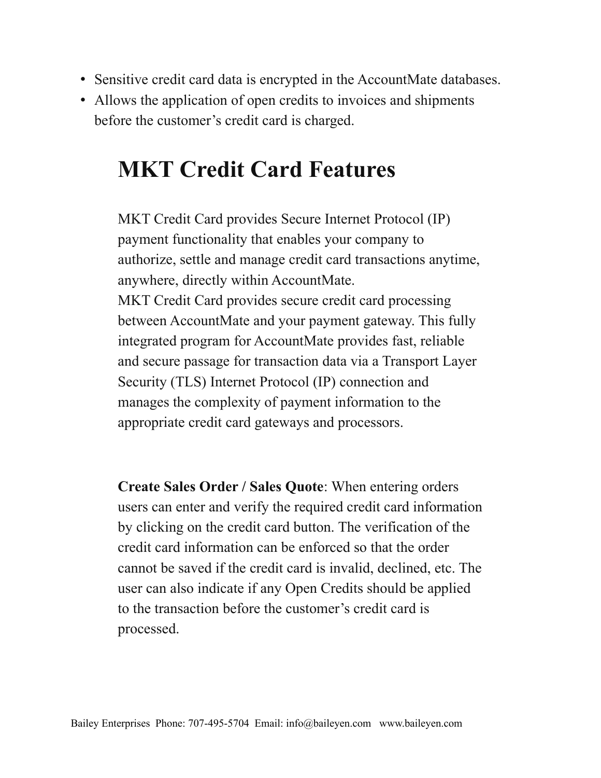- Sensitive credit card data is encrypted in the AccountMate databases.
- Allows the application of open credits to invoices and shipments before the customer's credit card is charged.

## **MKT Credit Card Features**

MKT Credit Card provides Secure Internet Protocol (IP) payment functionality that enables your company to authorize, settle and manage credit card transactions anytime, anywhere, directly within AccountMate. MKT Credit Card provides secure credit card processing between AccountMate and your payment gateway. This fully integrated program for AccountMate provides fast, reliable and secure passage for transaction data via a Transport Layer Security (TLS) Internet Protocol (IP) connection and manages the complexity of payment information to the appropriate credit card gateways and processors.

**Create Sales Order / Sales Quote**: When entering orders users can enter and verify the required credit card information by clicking on the credit card button. The verification of the credit card information can be enforced so that the order cannot be saved if the credit card is invalid, declined, etc. The user can also indicate if any Open Credits should be applied to the transaction before the customer's credit card is processed.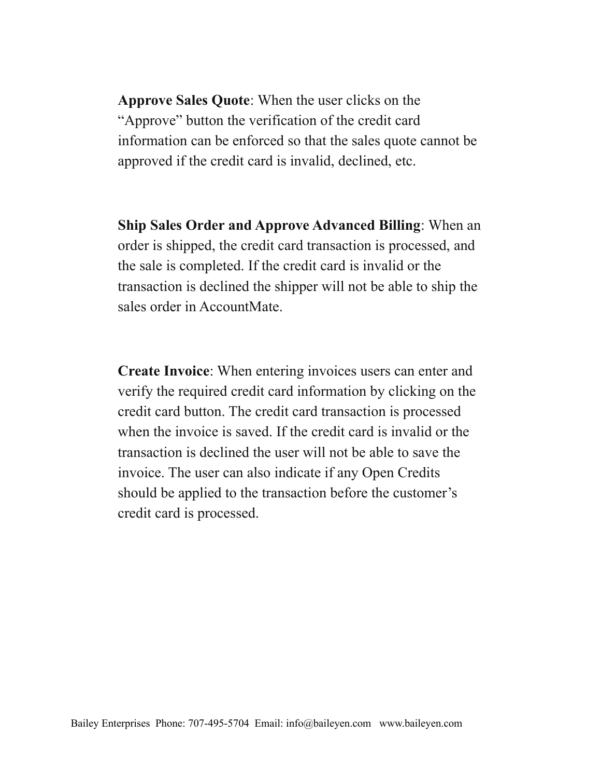**Approve Sales Quote**: When the user clicks on the "Approve" button the verification of the credit card information can be enforced so that the sales quote cannot be approved if the credit card is invalid, declined, etc.

**Ship Sales Order and Approve Advanced Billing**: When an order is shipped, the credit card transaction is processed, and the sale is completed. If the credit card is invalid or the transaction is declined the shipper will not be able to ship the sales order in AccountMate.

**Create Invoice**: When entering invoices users can enter and verify the required credit card information by clicking on the credit card button. The credit card transaction is processed when the invoice is saved. If the credit card is invalid or the transaction is declined the user will not be able to save the invoice. The user can also indicate if any Open Credits should be applied to the transaction before the customer's credit card is processed.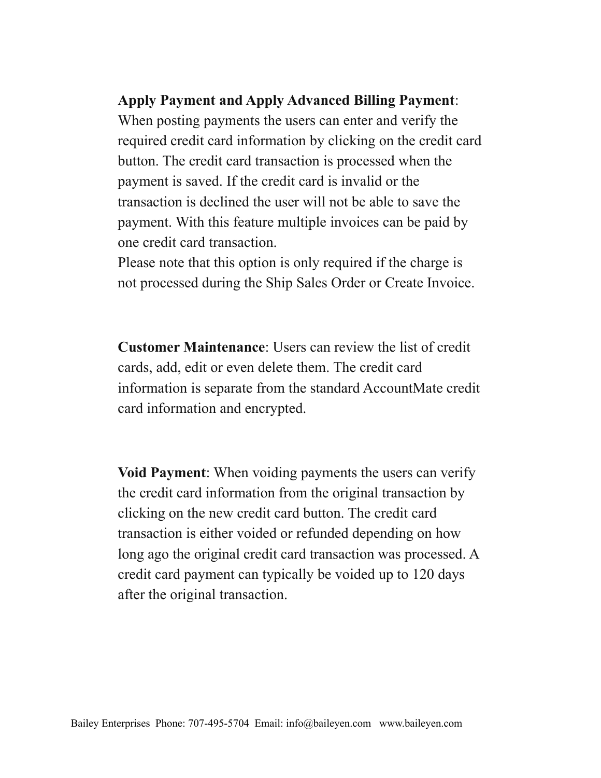## **Apply Payment and Apply Advanced Billing Payment**:

When posting payments the users can enter and verify the required credit card information by clicking on the credit card button. The credit card transaction is processed when the payment is saved. If the credit card is invalid or the transaction is declined the user will not be able to save the payment. With this feature multiple invoices can be paid by one credit card transaction.

Please note that this option is only required if the charge is not processed during the Ship Sales Order or Create Invoice.

**Customer Maintenance**: Users can review the list of credit cards, add, edit or even delete them. The credit card information is separate from the standard AccountMate credit card information and encrypted.

**Void Payment**: When voiding payments the users can verify the credit card information from the original transaction by clicking on the new credit card button. The credit card transaction is either voided or refunded depending on how long ago the original credit card transaction was processed. A credit card payment can typically be voided up to 120 days after the original transaction.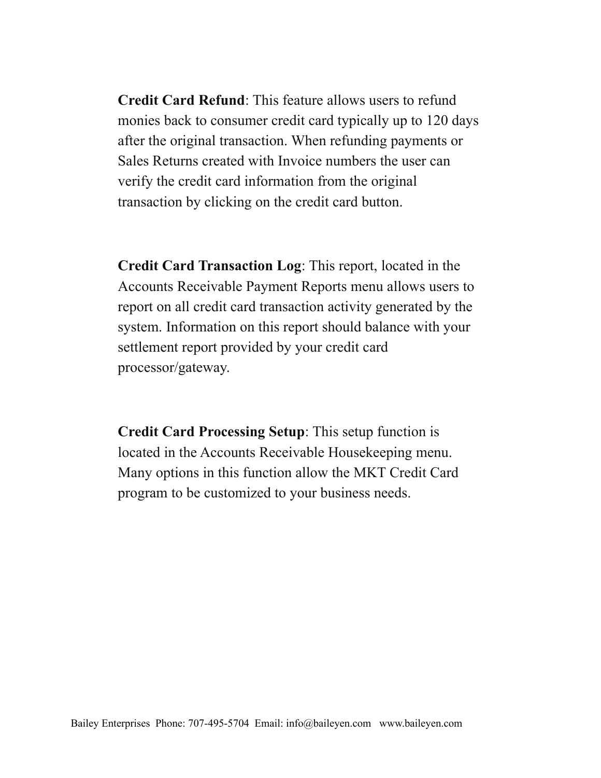**Credit Card Refund**: This feature allows users to refund monies back to consumer credit card typically up to 120 days after the original transaction. When refunding payments or Sales Returns created with Invoice numbers the user can verify the credit card information from the original transaction by clicking on the credit card button.

**Credit Card Transaction Log**: This report, located in the Accounts Receivable Payment Reports menu allows users to report on all credit card transaction activity generated by the system. Information on this report should balance with your settlement report provided by your credit card processor/gateway.

**Credit Card Processing Setup**: This setup function is located in the Accounts Receivable Housekeeping menu. Many options in this function allow the MKT Credit Card program to be customized to your business needs.